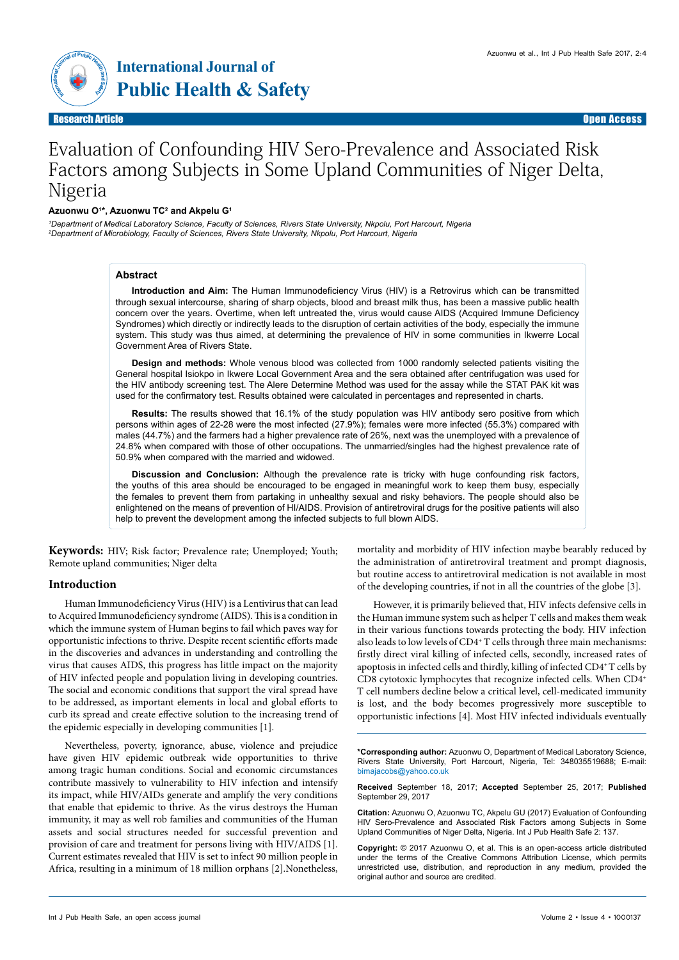



# Evaluation of Confounding HIV Sero-Prevalence and Associated Risk Factors among Subjects in Some Upland Communities of Niger Delta, Nigeria

#### **Azuonwu O1 \*, Azuonwu TC2 and Akpelu G1**

*1 Department of Medical Laboratory Science, Faculty of Sciences, Rivers State University, Nkpolu, Port Harcourt, Nigeria 2 Department of Microbiology, Faculty of Sciences, Rivers State University, Nkpolu, Port Harcourt, Nigeria*

#### **Abstract**

**Introduction and Aim:** The Human Immunodeficiency Virus (HIV) is a Retrovirus which can be transmitted through sexual intercourse, sharing of sharp objects, blood and breast milk thus, has been a massive public health concern over the years. Overtime, when left untreated the, virus would cause AIDS (Acquired Immune Deficiency Syndromes) which directly or indirectly leads to the disruption of certain activities of the body, especially the immune system. This study was thus aimed, at determining the prevalence of HIV in some communities in Ikwerre Local Government Area of Rivers State.

**Design and methods:** Whole venous blood was collected from 1000 randomly selected patients visiting the General hospital Isiokpo in Ikwere Local Government Area and the sera obtained after centrifugation was used for the HIV antibody screening test. The Alere Determine Method was used for the assay while the STAT PAK kit was used for the confirmatory test. Results obtained were calculated in percentages and represented in charts.

**Results:** The results showed that 16.1% of the study population was HIV antibody sero positive from which persons within ages of 22-28 were the most infected (27.9%); females were more infected (55.3%) compared with males (44.7%) and the farmers had a higher prevalence rate of 26%, next was the unemployed with a prevalence of 24.8% when compared with those of other occupations. The unmarried/singles had the highest prevalence rate of 50.9% when compared with the married and widowed.

**Discussion and Conclusion:** Although the prevalence rate is tricky with huge confounding risk factors, the youths of this area should be encouraged to be engaged in meaningful work to keep them busy, especially the females to prevent them from partaking in unhealthy sexual and risky behaviors. The people should also be enlightened on the means of prevention of HI/AIDS. Provision of antiretroviral drugs for the positive patients will also help to prevent the development among the infected subjects to full blown AIDS.

**Keywords:** HIV; Risk factor; Prevalence rate; Unemployed; Youth; Remote upland communities; Niger delta

## **Introduction**

Human Immunodeficiency Virus (HIV) is a Lentivirus that can lead to Acquired Immunodeficiency syndrome (AIDS). This is a condition in which the immune system of Human begins to fail which paves way for opportunistic infections to thrive. Despite recent scientific efforts made in the discoveries and advances in understanding and controlling the virus that causes AIDS, this progress has little impact on the majority of HIV infected people and population living in developing countries. The social and economic conditions that support the viral spread have to be addressed, as important elements in local and global efforts to curb its spread and create effective solution to the increasing trend of the epidemic especially in developing communities [1].

Nevertheless, poverty, ignorance, abuse, violence and prejudice have given HIV epidemic outbreak wide opportunities to thrive among tragic human conditions. Social and economic circumstances contribute massively to vulnerability to HIV infection and intensify its impact, while HIV/AIDs generate and amplify the very conditions that enable that epidemic to thrive. As the virus destroys the Human immunity, it may as well rob families and communities of the Human assets and social structures needed for successful prevention and provision of care and treatment for persons living with HIV/AIDS [1]. Current estimates revealed that HIV is set to infect 90 million people in Africa, resulting in a minimum of 18 million orphans [2].Nonetheless,

mortality and morbidity of HIV infection maybe bearably reduced by the administration of antiretroviral treatment and prompt diagnosis, but routine access to antiretroviral medication is not available in most of the developing countries, if not in all the countries of the globe [3].

However, it is primarily believed that, HIV infects defensive cells in the Human immune system such as helper T cells and makes them weak in their various functions towards protecting the body. HIV infection also leads to low levels of CD4+ T cells through three main mechanisms: firstly direct viral killing of infected cells, secondly, increased rates of apoptosis in infected cells and thirdly, killing of infected CD4+T cells by CD8 cytotoxic lymphocytes that recognize infected cells. When CD4+ T cell numbers decline below a critical level, cell-medicated immunity is lost, and the body becomes progressively more susceptible to opportunistic infections [4]. Most HIV infected individuals eventually

**\*Corresponding author:** Azuonwu O, Department of Medical Laboratory Science, Rivers State University, Port Harcourt, Nigeria, Tel: 348035519688; E-mail: [bimajacobs@yahoo.co.uk](mailto:bimajacobs@yahoo.co.uk)

**Received** September 18, 2017; **Accepted** September 25, 2017; **Published** September 29, 2017

**Citation:** Azuonwu O, Azuonwu TC, Akpelu GU (2017) Evaluation of Confounding HIV Sero-Prevalence and Associated Risk Factors among Subjects in Some Upland Communities of Niger Delta, Nigeria. Int J Pub Health Safe 2: 137.

**Copyright:** © 2017 Azuonwu O, et al. This is an open-access article distributed under the terms of the Creative Commons Attribution License, which permits unrestricted use, distribution, and reproduction in any medium, provided the original author and source are credited.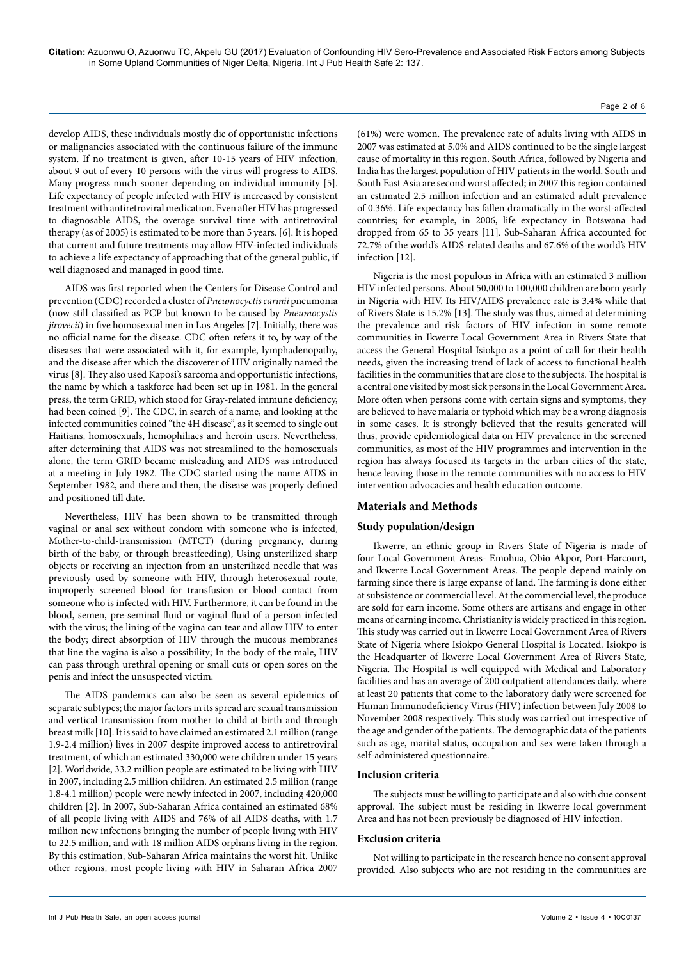develop AIDS, these individuals mostly die of opportunistic infections or malignancies associated with the continuous failure of the immune system. If no treatment is given, after 10-15 years of HIV infection, about 9 out of every 10 persons with the virus will progress to AIDS. Many progress much sooner depending on individual immunity [5]. Life expectancy of people infected with HIV is increased by consistent treatment with antiretroviral medication. Even after HIV has progressed to diagnosable AIDS, the overage survival time with antiretroviral therapy (as of 2005) is estimated to be more than 5 years. [6]. It is hoped that current and future treatments may allow HIV-infected individuals to achieve a life expectancy of approaching that of the general public, if well diagnosed and managed in good time.

AIDS was first reported when the Centers for Disease Control and prevention (CDC) recorded a cluster of *Pneumocyctis carinii* pneumonia (now still classified as PCP but known to be caused by *Pneumocystis jirovecii*) in five homosexual men in Los Angeles [7]. Initially, there was no official name for the disease. CDC often refers it to, by way of the diseases that were associated with it, for example, lymphadenopathy, and the disease after which the discoverer of HIV originally named the virus [8]. They also used Kaposi's sarcoma and opportunistic infections, the name by which a taskforce had been set up in 1981. In the general press, the term GRID, which stood for Gray-related immune deficiency, had been coined [9]. The CDC, in search of a name, and looking at the infected communities coined "the 4H disease", as it seemed to single out Haitians, homosexuals, hemophiliacs and heroin users. Nevertheless, after determining that AIDS was not streamlined to the homosexuals alone, the term GRID became misleading and AIDS was introduced at a meeting in July 1982. The CDC started using the name AIDS in September 1982, and there and then, the disease was properly defined and positioned till date.

Nevertheless, HIV has been shown to be transmitted through vaginal or anal sex without condom with someone who is infected, Mother-to-child-transmission (MTCT) (during pregnancy, during birth of the baby, or through breastfeeding), Using unsterilized sharp objects or receiving an injection from an unsterilized needle that was previously used by someone with HIV, through heterosexual route, improperly screened blood for transfusion or blood contact from someone who is infected with HIV. Furthermore, it can be found in the blood, semen, pre-seminal fluid or vaginal fluid of a person infected with the virus; the lining of the vagina can tear and allow HIV to enter the body; direct absorption of HIV through the mucous membranes that line the vagina is also a possibility; In the body of the male, HIV can pass through urethral opening or small cuts or open sores on the penis and infect the unsuspected victim.

The AIDS pandemics can also be seen as several epidemics of separate subtypes; the major factors in its spread are sexual transmission and vertical transmission from mother to child at birth and through breast milk [10]. It is said to have claimed an estimated 2.1 million (range 1.9-2.4 million) lives in 2007 despite improved access to antiretroviral treatment, of which an estimated 330,000 were children under 15 years [2]. Worldwide, 33.2 million people are estimated to be living with HIV in 2007, including 2.5 million children. An estimated 2.5 million (range 1.8-4.1 million) people were newly infected in 2007, including 420,000 children [2]. In 2007, Sub-Saharan Africa contained an estimated 68% of all people living with AIDS and 76% of all AIDS deaths, with 1.7 million new infections bringing the number of people living with HIV to 22.5 million, and with 18 million AIDS orphans living in the region. By this estimation, Sub-Saharan Africa maintains the worst hit. Unlike other regions, most people living with HIV in Saharan Africa 2007

(61%) were women. The prevalence rate of adults living with AIDS in 2007 was estimated at 5.0% and AIDS continued to be the single largest cause of mortality in this region. South Africa, followed by Nigeria and India has the largest population of HIV patients in the world. South and South East Asia are second worst affected; in 2007 this region contained an estimated 2.5 million infection and an estimated adult prevalence of 0.36%. Life expectancy has fallen dramatically in the worst-affected countries; for example, in 2006, life expectancy in Botswana had dropped from 65 to 35 years [11]. Sub-Saharan Africa accounted for 72.7% of the world's AIDS-related deaths and 67.6% of the world's HIV infection [12].

Nigeria is the most populous in Africa with an estimated 3 million HIV infected persons. About 50,000 to 100,000 children are born yearly in Nigeria with HIV. Its HIV/AIDS prevalence rate is 3.4% while that of Rivers State is 15.2% [13]. The study was thus, aimed at determining the prevalence and risk factors of HIV infection in some remote communities in Ikwerre Local Government Area in Rivers State that access the General Hospital Isiokpo as a point of call for their health needs, given the increasing trend of lack of access to functional health facilities in the communities that are close to the subjects. The hospital is a central one visited by most sick persons in the Local Government Area. More often when persons come with certain signs and symptoms, they are believed to have malaria or typhoid which may be a wrong diagnosis in some cases. It is strongly believed that the results generated will thus, provide epidemiological data on HIV prevalence in the screened communities, as most of the HIV programmes and intervention in the region has always focused its targets in the urban cities of the state, hence leaving those in the remote communities with no access to HIV intervention advocacies and health education outcome.

# **Materials and Methods**

## **Study population/design**

Ikwerre, an ethnic group in Rivers State of Nigeria is made of four Local Government Areas- Emohua, Obio Akpor, Port-Harcourt, and Ikwerre Local Government Areas. The people depend mainly on farming since there is large expanse of land. The farming is done either at subsistence or commercial level. At the commercial level, the produce are sold for earn income. Some others are artisans and engage in other means of earning income. Christianity is widely practiced in this region. This study was carried out in Ikwerre Local Government Area of Rivers State of Nigeria where Isiokpo General Hospital is Located. Isiokpo is the Headquarter of Ikwerre Local Government Area of Rivers State, Nigeria. The Hospital is well equipped with Medical and Laboratory facilities and has an average of 200 outpatient attendances daily, where at least 20 patients that come to the laboratory daily were screened for Human Immunodeficiency Virus (HIV) infection between July 2008 to November 2008 respectively. This study was carried out irrespective of the age and gender of the patients. The demographic data of the patients such as age, marital status, occupation and sex were taken through a self-administered questionnaire.

## **Inclusion criteria**

The subjects must be willing to participate and also with due consent approval. The subject must be residing in Ikwerre local government Area and has not been previously be diagnosed of HIV infection.

#### **Exclusion criteria**

Not willing to participate in the research hence no consent approval provided. Also subjects who are not residing in the communities are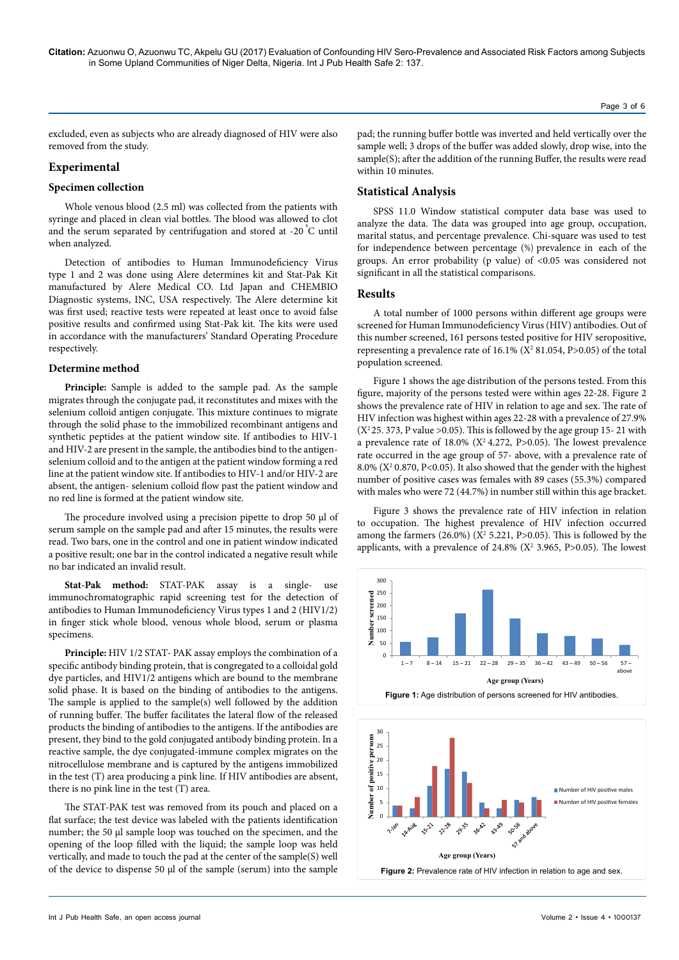Page 3 of 6

excluded, even as subjects who are already diagnosed of HIV were also removed from the study.

# **Experimental**

## **Specimen collection**

Whole venous blood (2.5 ml) was collected from the patients with syringe and placed in clean vial bottles. The blood was allowed to clot and the serum separated by centrifugation and stored at -20 °C until when analyzed.

Detection of antibodies to Human Immunodeficiency Virus type 1 and 2 was done using Alere determines kit and Stat-Pak Kit manufactured by Alere Medical CO. Ltd Japan and CHEMBIO Diagnostic systems, INC, USA respectively. The Alere determine kit was first used; reactive tests were repeated at least once to avoid false positive results and confirmed using Stat-Pak kit. The kits were used in accordance with the manufacturers' Standard Operating Procedure respectively.

# **Determine method**

**Principle:** Sample is added to the sample pad. As the sample migrates through the conjugate pad, it reconstitutes and mixes with the selenium colloid antigen conjugate. This mixture continues to migrate through the solid phase to the immobilized recombinant antigens and synthetic peptides at the patient window site. If antibodies to HIV-1 and HIV-2 are present in the sample, the antibodies bind to the antigenselenium colloid and to the antigen at the patient window forming a red line at the patient window site. If antibodies to HIV-1 and/or HIV-2 are absent, the antigen- selenium colloid flow past the patient window and no red line is formed at the patient window site.

The procedure involved using a precision pipette to drop 50 µl of serum sample on the sample pad and after 15 minutes, the results were read. Two bars, one in the control and one in patient window indicated a positive result; one bar in the control indicated a negative result while no bar indicated an invalid result.

**Stat-Pak method:** STAT-PAK assay is a single- use immunochromatographic rapid screening test for the detection of antibodies to Human Immunodeficiency Virus types 1 and 2 (HIV1/2) in finger stick whole blood, venous whole blood, serum or plasma specimens.

**Principle:** HIV 1/2 STAT- PAK assay employs the combination of a specific antibody binding protein, that is congregated to a colloidal gold dye particles, and HIV1/2 antigens which are bound to the membrane solid phase. It is based on the binding of antibodies to the antigens. The sample is applied to the sample(s) well followed by the addition of running buffer. The buffer facilitates the lateral flow of the released products the binding of antibodies to the antigens. If the antibodies are present, they bind to the gold conjugated antibody binding protein. In a reactive sample, the dye conjugated-immune complex migrates on the nitrocellulose membrane and is captured by the antigens immobilized in the test (T) area producing a pink line. If HIV antibodies are absent, there is no pink line in the test (T) area.

The STAT-PAK test was removed from its pouch and placed on a flat surface; the test device was labeled with the patients identification number; the 50 µl sample loop was touched on the specimen, and the opening of the loop filled with the liquid; the sample loop was held vertically, and made to touch the pad at the center of the sample(S) well of the device to dispense 50 µl of the sample (serum) into the sample pad; the running buffer bottle was inverted and held vertically over the sample well; 3 drops of the buffer was added slowly, drop wise, into the sample(S); after the addition of the running Buffer, the results were read within 10 minutes.

# **Statistical Analysis**

SPSS 11.0 Window statistical computer data base was used to analyze the data. The data was grouped into age group, occupation, marital status, and percentage prevalence. Chi-square was used to test for independence between percentage (%) prevalence in each of the groups. An error probability (p value) of <0.05 was considered not significant in all the statistical comparisons.

#### **Results**

A total number of 1000 persons within different age groups were screened for Human Immunodeficiency Virus (HIV) antibodies. Out of this number screened, 161 persons tested positive for HIV seropositive, representing a prevalence rate of  $16.1\%$  ( $X^2$  81.054, P>0.05) of the total population screened.

Figure 1 shows the age distribution of the persons tested. From this figure, majority of the persons tested were within ages 22-28. Figure 2 shows the prevalence rate of HIV in relation to age and sex. The rate of HIV infection was highest within ages 22-28 with a prevalence of 27.9%  $(X<sup>2</sup>25. 373, P value > 0.05)$ . This is followed by the age group 15-21 with a prevalence rate of  $18.0\%$  (X<sup>2</sup> 4.272, P>0.05). The lowest prevalence rate occurred in the age group of 57- above, with a prevalence rate of 8.0% ( $X^2$  0.870, P<0.05). It also showed that the gender with the highest number of positive cases was females with 89 cases (55.3%) compared with males who were 72 (44.7%) in number still within this age bracket.

Figure 3 shows the prevalence rate of HIV infection in relation to occupation. The highest prevalence of HIV infection occurred among the farmers  $(26.0\%)$   $(X^2 5.221, P>0.05)$ . This is followed by the applicants, with a prevalence of  $24.8\%$  ( $X^2$  3.965, P>0.05). The lowest



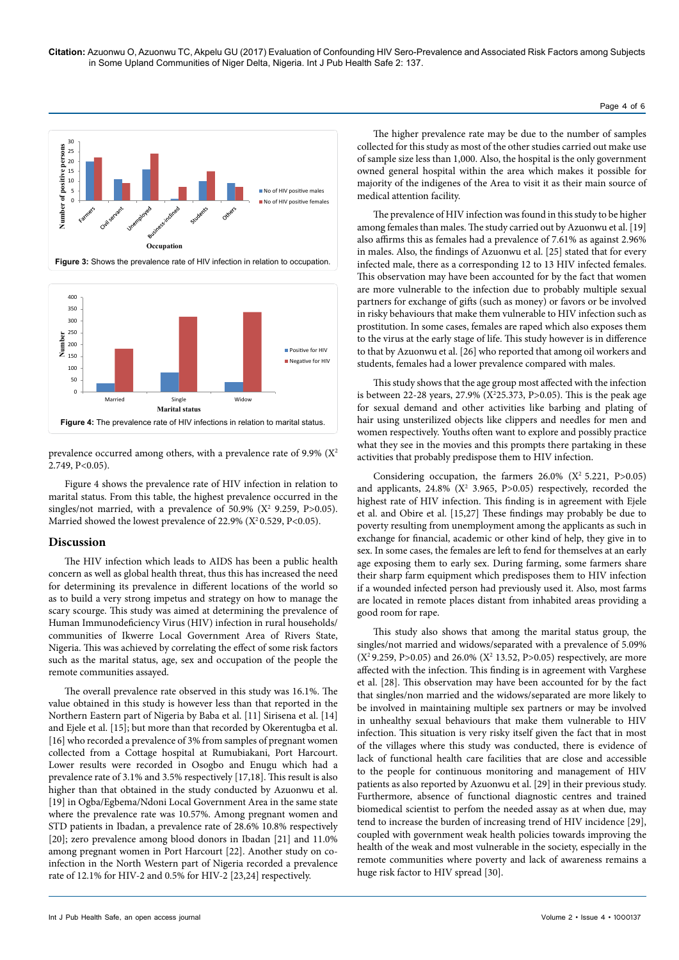



prevalence occurred among others, with a prevalence rate of 9.9%  $(X^2)$ 2.749, P<0.05).

Figure 4 shows the prevalence rate of HIV infection in relation to marital status. From this table, the highest prevalence occurred in the singles/not married, with a prevalence of  $50.9\%$  ( $X^2$  9.259, P>0.05). Married showed the lowest prevalence of 22.9% ( $X^2$ 0.529, P<0.05).

## **Discussion**

The HIV infection which leads to AIDS has been a public health concern as well as global health threat, thus this has increased the need for determining its prevalence in different locations of the world so as to build a very strong impetus and strategy on how to manage the scary scourge. This study was aimed at determining the prevalence of Human Immunodeficiency Virus (HIV) infection in rural households/ communities of Ikwerre Local Government Area of Rivers State, Nigeria. This was achieved by correlating the effect of some risk factors such as the marital status, age, sex and occupation of the people the remote communities assayed.

The overall prevalence rate observed in this study was 16.1%. The value obtained in this study is however less than that reported in the Northern Eastern part of Nigeria by Baba et al. [11] Sirisena et al. [14] and Ejele et al. [15]; but more than that recorded by Okerentugba et al. [16] who recorded a prevalence of 3% from samples of pregnant women collected from a Cottage hospital at Rumubiakani, Port Harcourt. Lower results were recorded in Osogbo and Enugu which had a prevalence rate of 3.1% and 3.5% respectively [17,18]. This result is also higher than that obtained in the study conducted by Azuonwu et al. [19] in Ogba/Egbema/Ndoni Local Government Area in the same state where the prevalence rate was 10.57%. Among pregnant women and STD patients in Ibadan, a prevalence rate of 28.6% 10.8% respectively [20]; zero prevalence among blood donors in Ibadan [21] and 11.0% among pregnant women in Port Harcourt [22]. Another study on coinfection in the North Western part of Nigeria recorded a prevalence rate of 12.1% for HIV-2 and 0.5% for HIV-2 [23,24] respectively.

The higher prevalence rate may be due to the number of samples collected for this study as most of the other studies carried out make use of sample size less than 1,000. Also, the hospital is the only government owned general hospital within the area which makes it possible for majority of the indigenes of the Area to visit it as their main source of medical attention facility.

The prevalence of HIV infection was found in this study to be higher among females than males. The study carried out by Azuonwu et al. [19] also affirms this as females had a prevalence of 7.61% as against 2.96% in males. Also, the findings of Azuonwu et al. [25] stated that for every infected male, there as a corresponding 12 to 13 HIV infected females. This observation may have been accounted for by the fact that women are more vulnerable to the infection due to probably multiple sexual partners for exchange of gifts (such as money) or favors or be involved in risky behaviours that make them vulnerable to HIV infection such as prostitution. In some cases, females are raped which also exposes them to the virus at the early stage of life. This study however is in difference to that by Azuonwu et al. [26] who reported that among oil workers and students, females had a lower prevalence compared with males.

This study shows that the age group most affected with the infection is between 22-28 years, 27.9% (X2 25.373, P>0.05). This is the peak age for sexual demand and other activities like barbing and plating of hair using unsterilized objects like clippers and needles for men and women respectively. Youths often want to explore and possibly practice what they see in the movies and this prompts there partaking in these activities that probably predispose them to HIV infection.

Considering occupation, the farmers  $26.0\%$  (X<sup>2</sup> 5.221, P>0.05) and applicants,  $24.8\%$  ( $X^2$  3.965, P>0.05) respectively, recorded the highest rate of HIV infection. This finding is in agreement with Ejele et al. and Obire et al. [15,27] These findings may probably be due to poverty resulting from unemployment among the applicants as such in exchange for financial, academic or other kind of help, they give in to sex. In some cases, the females are left to fend for themselves at an early age exposing them to early sex. During farming, some farmers share their sharp farm equipment which predisposes them to HIV infection if a wounded infected person had previously used it. Also, most farms are located in remote places distant from inhabited areas providing a good room for rape.

This study also shows that among the marital status group, the singles/not married and widows/separated with a prevalence of 5.09%  $(X<sup>2</sup> 9.259, P>0.05)$  and 26.0%  $(X<sup>2</sup> 13.52, P>0.05)$  respectively, are more affected with the infection. This finding is in agreement with Varghese et al. [28]. This observation may have been accounted for by the fact that singles/non married and the widows/separated are more likely to be involved in maintaining multiple sex partners or may be involved in unhealthy sexual behaviours that make them vulnerable to HIV infection. This situation is very risky itself given the fact that in most of the villages where this study was conducted, there is evidence of lack of functional health care facilities that are close and accessible to the people for continuous monitoring and management of HIV patients as also reported by Azuonwu et al. [29] in their previous study. Furthermore, absence of functional diagnostic centres and trained biomedical scientist to perfom the needed assay as at when due, may tend to increase the burden of increasing trend of HIV incidence [29], coupled with government weak health policies towards improving the health of the weak and most vulnerable in the society, especially in the remote communities where poverty and lack of awareness remains a huge risk factor to HIV spread [30].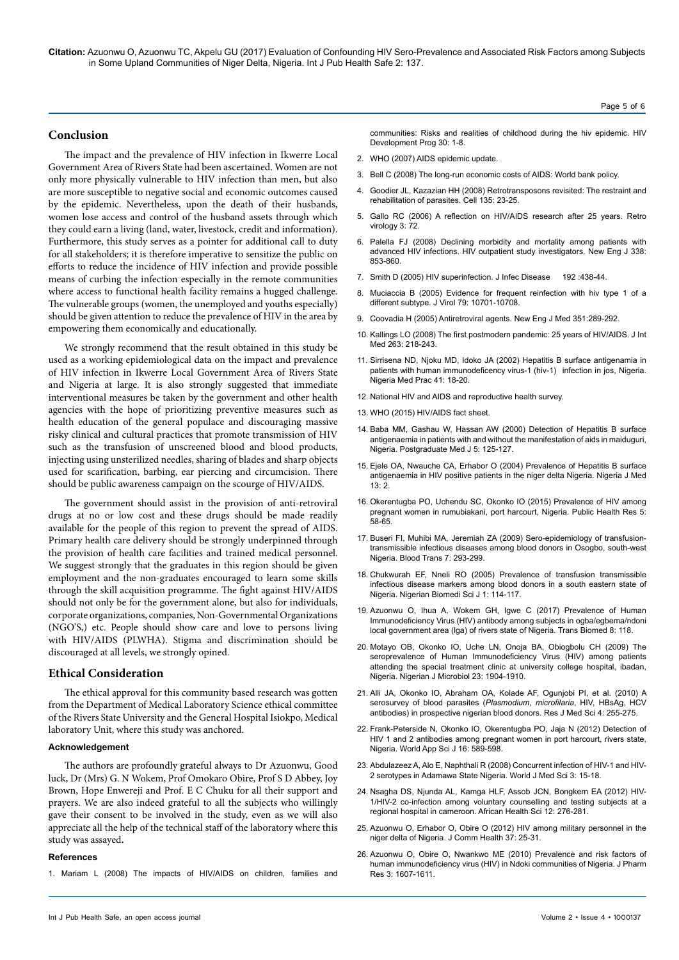**Citation:** Azuonwu O, Azuonwu TC, Akpelu GU (2017) Evaluation of Confounding HIV Sero-Prevalence and Associated Risk Factors among Subjects in Some Upland Communities of Niger Delta, Nigeria. Int J Pub Health Safe 2: 137.

#### **Conclusion**

The impact and the prevalence of HIV infection in Ikwerre Local Government Area of Rivers State had been ascertained. Women are not only more physically vulnerable to HIV infection than men, but also are more susceptible to negative social and economic outcomes caused by the epidemic. Nevertheless, upon the death of their husbands, women lose access and control of the husband assets through which they could earn a living (land, water, livestock, credit and information). Furthermore, this study serves as a pointer for additional call to duty for all stakeholders; it is therefore imperative to sensitize the public on efforts to reduce the incidence of HIV infection and provide possible means of curbing the infection especially in the remote communities where access to functional health facility remains a hugged challenge. The vulnerable groups (women, the unemployed and youths especially) should be given attention to reduce the prevalence of HIV in the area by empowering them economically and educationally.

We strongly recommend that the result obtained in this study be used as a working epidemiological data on the impact and prevalence of HIV infection in Ikwerre Local Government Area of Rivers State and Nigeria at large. It is also strongly suggested that immediate interventional measures be taken by the government and other health agencies with the hope of prioritizing preventive measures such as health education of the general populace and discouraging massive risky clinical and cultural practices that promote transmission of HIV such as the transfusion of unscreened blood and blood products, injecting using unsterilized needles, sharing of blades and sharp objects used for scarification, barbing, ear piercing and circumcision. There should be public awareness campaign on the scourge of HIV/AIDS.

The government should assist in the provision of anti-retroviral drugs at no or low cost and these drugs should be made readily available for the people of this region to prevent the spread of AIDS. Primary health care delivery should be strongly underpinned through the provision of health care facilities and trained medical personnel. We suggest strongly that the graduates in this region should be given employment and the non-graduates encouraged to learn some skills through the skill acquisition programme. The fight against HIV/AIDS should not only be for the government alone, but also for individuals, corporate organizations, companies, Non-Governmental Organizations (NGO'S,) etc. People should show care and love to persons living with HIV/AIDS (PLWHA). Stigma and discrimination should be discouraged at all levels, we strongly opined.

# **Ethical Consideration**

The ethical approval for this community based research was gotten from the Department of Medical Laboratory Science ethical committee of the Rivers State University and the General Hospital Isiokpo, Medical laboratory Unit, where this study was anchored.

#### **Acknowledgement**

The authors are profoundly grateful always to Dr Azuonwu, Good luck, Dr (Mrs) G. N Wokem, Prof Omokaro Obire, Prof S D Abbey, Joy Brown, Hope Enwereji and Prof. E C Chuku for all their support and prayers. We are also indeed grateful to all the subjects who willingly gave their consent to be involved in the study, even as we will also appreciate all the help of the technical staff of the laboratory where this study was assayed**.**

#### **References**

1. [Mariam L \(2008\) The impacts of HIV/AIDS on children, families and](http://www.saathii.org/ovc/context_and_response/03-The Impact of HIV and AIDS on Children, Families and Communities.pdf)

[communities: Risks and realities of childhood during the hiv epidemic. HIV](http://www.saathii.org/ovc/context_and_response/03-The Impact of HIV and AIDS on Children, Families and Communities.pdf)  [Development Prog 30: 1-8.](http://www.saathii.org/ovc/context_and_response/03-The Impact of HIV and AIDS on Children, Families and Communities.pdf)

- 2. WHO (2007) AIDS epidemic update.
- 3. Bell C (2008) The long-run economic costs of AIDS: World bank policy.
- 4. [Goodier JL, Kazazian HH \(2008\) Retrotransposons revisited: The restraint and](https://dx.doi.org/10.1016/j.cell.2008.09.022)  [rehabilitation of parasites. Cell 135: 23-25.](https://dx.doi.org/10.1016/j.cell.2008.09.022)
- 5. [Gallo RC \(2006\) A reflection on HIV/AIDS research after 25 years. Retro](https://dx.doi.org/10.1186/1742-4690-3-72)  [virology 3: 72.](https://dx.doi.org/10.1186/1742-4690-3-72)
- 6. [Palella FJ \(2008\) Declining morbidity and mortality among patients with](https://dx.doi.org/10.1056/NEJM199803263381301)  [advanced HIV infections. HIV outpatient study investigators. New Eng J 338:](https://dx.doi.org/10.1056/NEJM199803263381301)  [853-860.](https://dx.doi.org/10.1056/NEJM199803263381301)
- 7. Smith D (2005) HIV superinfection. J Infec Disease 192 :438-44.
- 8. [Muciaccia B \(2005\) Evidence for frequent reinfection with hiv type 1 of a](https://dx.doi.org/10.1128/JVI.79.16.10701-10708.2005)  [different subtype. J Virol 79: 10701-10708.](https://dx.doi.org/10.1128/JVI.79.16.10701-10708.2005)
- 9. Coovadia H (2005) Antiretroviral agents. New Eng J Med 351:289-292.
- 10. [Kallings LO \(2008\) The first postmodern pandemic: 25 years of HIV/AIDS. J Int](https://dx.doi.org/10.1111/j.1365-2796.2007.01910.x)  [Med 263: 218-243.](https://dx.doi.org/10.1111/j.1365-2796.2007.01910.x)
- 11. Sirrisena ND, Njoku MD, Idoko JA (2002) Hepatitis B surface antigenamia in patients with human immunodeficency virus-1 (hiv-1) infection in jos, Nigeria. Nigeria Med Prac 41: 18-20.
- 12. National HIV and AIDS and reproductive health survey.
- 13. WHO (2015) HIV/AIDS fact sheet.
- 14. Baba MM, Gashau W, Hassan AW (2000) Detection of Hepatitis B surface antigenaemia in patients with and without the manifestation of aids in maiduguri, Nigeria. Postgraduate Med J 5: 125-127.
- 15. Ejele OA, Nwauche CA, Erhabor O (2004) Prevalence of Hepatitis B surface antigenaemia in HIV positive patients in the niger delta Nigeria. Nigeria J Med  $13.2$
- 16. [Okerentugba PO, Uchendu SC, Okonko IO \(2015\) Prevalence of HIV among](http://article.sapub.org/10.5923.j.phr.20150502.03.html)  [pregnant women in rumubiakani, port harcourt, Nigeria. Public Health Res 5:](http://article.sapub.org/10.5923.j.phr.20150502.03.html)  [58-65.](http://article.sapub.org/10.5923.j.phr.20150502.03.html)
- 17. [Buseri FI, Muhibi MA, Jeremiah ZA \(2009\) Sero-epidemiology of transfusion](https://dx.doi.org/10.2450/2009.0071-08)[transmissible infectious diseases among blood donors in Osogbo, south-west](https://dx.doi.org/10.2450/2009.0071-08)  [Nigeria. Blood Trans 7: 293-299.](https://dx.doi.org/10.2450/2009.0071-08)
- 18. [Chukwurah EF, Nneli RO \(2005\) Prevalence of transfusion transmissible](https://dx.doi.org/10.2450/2009.0071-08)  [infectious disease markers among blood donors in a south eastern state of](https://dx.doi.org/10.2450/2009.0071-08)  [Nigeria. Nigerian Biomedi Sci J 1: 114-117.](https://dx.doi.org/10.2450/2009.0071-08)
- 19. [Azuonwu O, Ihua A, Wokem GH, Igwe C \(2017\) Prevalence of Human](https://dx.doi.org/10.21767/2172-0479.100118)  [Immunodeficiency Virus \(HIV\) antibody among subjects in ogba/egbema/ndoni](https://dx.doi.org/10.21767/2172-0479.100118)  [local government area \(lga\) of rivers state of Nigeria. Trans Biomed 8: 118.](https://dx.doi.org/10.21767/2172-0479.100118)
- 20. Motayo OB, Okonko IO, Uche LN, Onoja BA, Obiogbolu CH (2009) The seroprevalence of Human Immunodeficiency Virus (HIV) among patients attending the special treatment clinic at university college hospital, ibadan, Nigeria. Nigerian J Microbiol 23: 1904-1910.
- 21. [Alli JA, Okonko IO, Abraham OA, Kolade AF, Ogunjobi PI, et al. \(2010\) A](https://www.medwelljournals.com/abstract/?doi=rjmsci.2010.255.275)  [serosurvey of blood parasites \(](https://www.medwelljournals.com/abstract/?doi=rjmsci.2010.255.275)*Plasmodium, microfilaria*, HIV, HBsAg, HCV [antibodies\) in prospective nigerian blood donors. Res J Med Sci 4: 255-275.](https://www.medwelljournals.com/abstract/?doi=rjmsci.2010.255.275)
- 22. Frank-Peterside N, Okonko IO, Okerentugba PO, Jaja N (2012) Detection of HIV 1 and 2 antibodies among pregnant women in port harcourt, rivers state, Nigeria. World App Sci J 16: 589-598.
- 23. [Abdulazeez A, Alo E, Naphthali R \(2008\) Concurrent infection of HIV-1 and HIV-](https://www.idosi.org/wjms/3(1)08/4.pdf)[2 serotypes in Adamawa State Nigeria. World J Med Sci 3: 15-18.](https://www.idosi.org/wjms/3(1)08/4.pdf)
- 24. Nsagha DS, Njunda AL, Kamga HLF, Assob JCN, Bongkem EA (2012) HIV-1/HIV-2 co-infection among voluntary counselling and testing subjects at a regional hospital in cameroon. African Health Sci 12: 276-281.
- 25. [Azuonwu O, Erhabor O, Obire O \(2012\) HIV among military personnel in the](link.springer.com/article/10.1007/s10900-011-9411-5)  [niger delta of Nigeria. J Comm Health 37: 25-31.](link.springer.com/article/10.1007/s10900-011-9411-5)
- 26. [Azuonwu O, Obire O, Nwankwo ME \(2010\) Prevalence and risk factors of](http://www.cabdirect.org/abstracts/20103270950.html)  [human immunodeficiency virus \(HIV\) in Ndoki communities of Nigeria. J Pharm](http://www.cabdirect.org/abstracts/20103270950.html)  [Res 3: 1607-1611.](http://www.cabdirect.org/abstracts/20103270950.html)